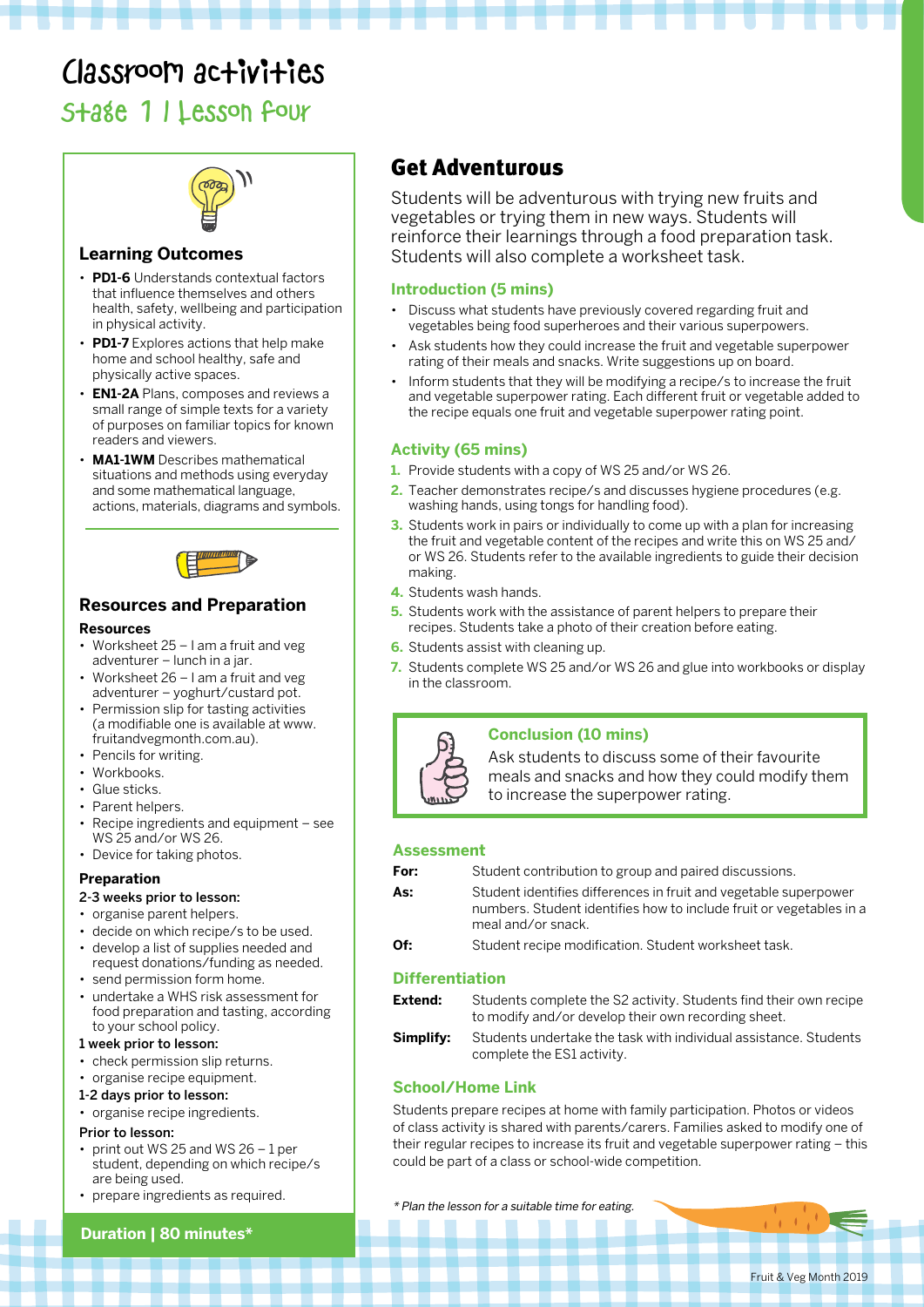# Classroom activities

# Stage 1 | Lesson four



### **Learning Outcomes**

- **PD1-6** Understands contextual factors that influence themselves and others health, safety, wellbeing and participation in physical activity.
- **PD1-7** Explores actions that help make home and school healthy, safe and physically active spaces.
- **EN1-2A** Plans, composes and reviews a small range of simple texts for a variety of purposes on familiar topics for known readers and viewers.
- **MA1-1WM** Describes mathematical situations and methods using everyday and some mathematical language, actions, materials, diagrams and symbols.



### **Resources and Preparation**

#### **Resources**

- Worksheet 25 I am a fruit and veg adventurer – lunch in a jar.
- Worksheet 26 I am a fruit and veg adventurer – yoghurt/custard pot.
- Permission slip for tasting activities (a modifiable one is available at www. fruitandvegmonth.com.au).
- Pencils for writing.
- Workbooks.
- Glue sticks.
- Parent helpers.
- Recipe ingredients and equipment see WS 25 and/or WS 26.
- Device for taking photos.

### **Preparation**

- 2-3 weeks prior to lesson:
- organise parent helpers.
- decide on which recipe/s to be used.
- develop a list of supplies needed and request donations/funding as needed.
- send permission form home.
- undertake a WHS risk assessment for food preparation and tasting, according to your school policy.

#### 1 week prior to lesson:

- check permission slip returns.
- organise recipe equipment.
- 1-2 days prior to lesson:
- organise recipe ingredients.

#### Prior to lesson:

- print out WS 25 and WS  $26 1$  per student, depending on which recipe/s are being used.
- prepare ingredients as required.<br>\* Plan the lesson for a suitable time for eating.

### **Duration | 80 minutes\***

# Get Adventurous

Students will be adventurous with trying new fruits and vegetables or trying them in new ways. Students will reinforce their learnings through a food preparation task. Students will also complete a worksheet task.

### **Introduction (5 mins)**

- Discuss what students have previously covered regarding fruit and vegetables being food superheroes and their various superpowers.
- Ask students how they could increase the fruit and vegetable superpower rating of their meals and snacks. Write suggestions up on board.
- Inform students that they will be modifying a recipe/s to increase the fruit and vegetable superpower rating. Each different fruit or vegetable added to the recipe equals one fruit and vegetable superpower rating point.

### **Activity (65 mins)**

- **1.** Provide students with a copy of WS 25 and/or WS 26.
- **2.** Teacher demonstrates recipe/s and discusses hygiene procedures (e.g. washing hands, using tongs for handling food).
- **3.** Students work in pairs or individually to come up with a plan for increasing the fruit and vegetable content of the recipes and write this on WS 25 and/ or WS 26. Students refer to the available ingredients to guide their decision making.
- **4.** Students wash hands.
- **5.** Students work with the assistance of parent helpers to prepare their recipes. Students take a photo of their creation before eating.
- **6.** Students assist with cleaning up.
- **7.** Students complete WS 25 and/or WS 26 and glue into workbooks or display in the classroom.



### **Conclusion (10 mins)**

Ask students to discuss some of their favourite meals and snacks and how they could modify them to increase the superpower rating.

### **Assessment**

- **For:** Student contribution to group and paired discussions.
- As: Student identifies differences in fruit and vegetable superpower numbers. Student identifies how to include fruit or vegetables in a meal and/or snack.
- **Of:** Student recipe modification. Student worksheet task.

### **Differentiation**

**Extend:** Students complete the S2 activity. Students find their own recipe to modify and/or develop their own recording sheet.

**Simplify:** Students undertake the task with individual assistance. Students complete the ES1 activity.

### **School/Home Link**

Students prepare recipes at home with family participation. Photos or videos of class activity is shared with parents/carers. Families asked to modify one of their regular recipes to increase its fruit and vegetable superpower rating – this could be part of a class or school-wide competition.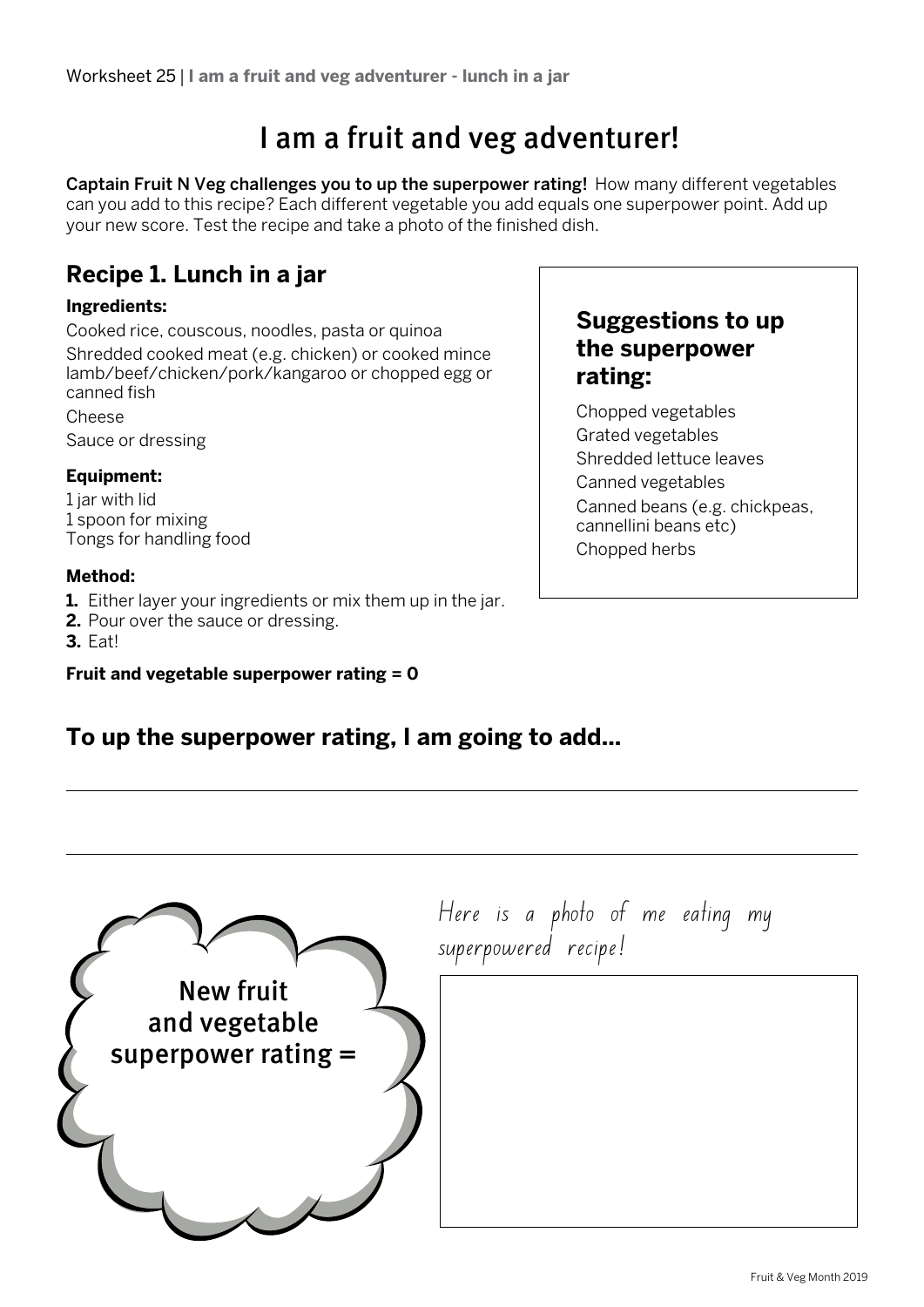# I am a fruit and veg adventurer!

Captain Fruit N Veg challenges you to up the superpower rating! How many different vegetables can you add to this recipe? Each different vegetable you add equals one superpower point. Add up your new score. Test the recipe and take a photo of the finished dish.

# **Recipe 1. Lunch in a jar**

## **Ingredients:**

Cooked rice, couscous, noodles, pasta or quinoa Shredded cooked meat (e.g. chicken) or cooked mince lamb/beef/chicken/pork/kangaroo or chopped egg or canned fish Cheese

Sauce or dressing

# **Equipment:**

1 jar with lid 1 spoon for mixing Tongs for handling food

## **Method:**

- **1.** Either layer your ingredients or mix them up in the jar.
- **2.** Pour over the sauce or dressing.
- **3.** Eat!

# **Fruit and vegetable superpower rating = 0**

# **Suggestions to up the superpower rating:**

Chopped vegetables Grated vegetables Shredded lettuce leaves Canned vegetables Canned beans (e.g. chickpeas, cannellini beans etc) Chopped herbs

# **To up the superpower rating, I am going to add...**